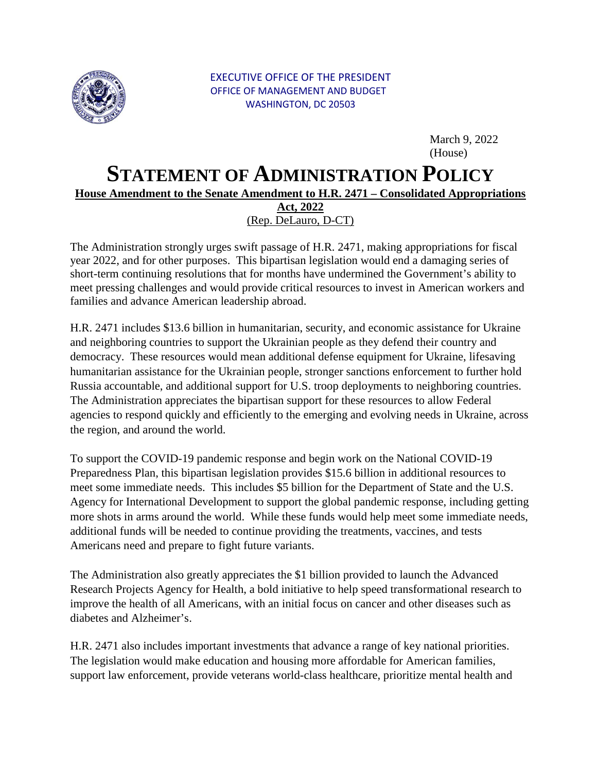

March 9, 2022 (House)

## **STATEMENT OF ADMINISTRATION POLICY**

## **House Amendment to the Senate Amendment to H.R. 2471 – Consolidated Appropriations**

 (Rep. DeLauro, D-CT) **Act, 2022** 

 year 2022, and for other purposes. This bipartisan legislation would end a damaging series of The Administration strongly urges swift passage of H.R. 2471, making appropriations for fiscal short-term continuing resolutions that for months have undermined the Government's ability to meet pressing challenges and would provide critical resources to invest in American workers and families and advance American leadership abroad.

 Russia accountable, and additional support for U.S. troop deployments to neighboring countries. H.R. 2471 includes \$13.6 billion in humanitarian, security, and economic assistance for Ukraine and neighboring countries to support the Ukrainian people as they defend their country and democracy. These resources would mean additional defense equipment for Ukraine, lifesaving humanitarian assistance for the Ukrainian people, stronger sanctions enforcement to further hold The Administration appreciates the bipartisan support for these resources to allow Federal agencies to respond quickly and efficiently to the emerging and evolving needs in Ukraine, across the region, and around the world.

 meet some immediate needs. This includes \$5 billion for the Department of State and the U.S. more shots in arms around the world. While these funds would help meet some immediate needs, To support the COVID-19 pandemic response and begin work on the National COVID-19 Preparedness Plan, this bipartisan legislation provides \$15.6 billion in additional resources to Agency for International Development to support the global pandemic response, including getting additional funds will be needed to continue providing the treatments, vaccines, and tests Americans need and prepare to fight future variants.

 The Administration also greatly appreciates the \$1 billion provided to launch the Advanced Research Projects Agency for Health, a bold initiative to help speed transformational research to improve the health of all Americans, with an initial focus on cancer and other diseases such as diabetes and Alzheimer's.

H.R. 2471 also includes important investments that advance a range of key national priorities. The legislation would make education and housing more affordable for American families, support law enforcement, provide veterans world-class healthcare, prioritize mental health and